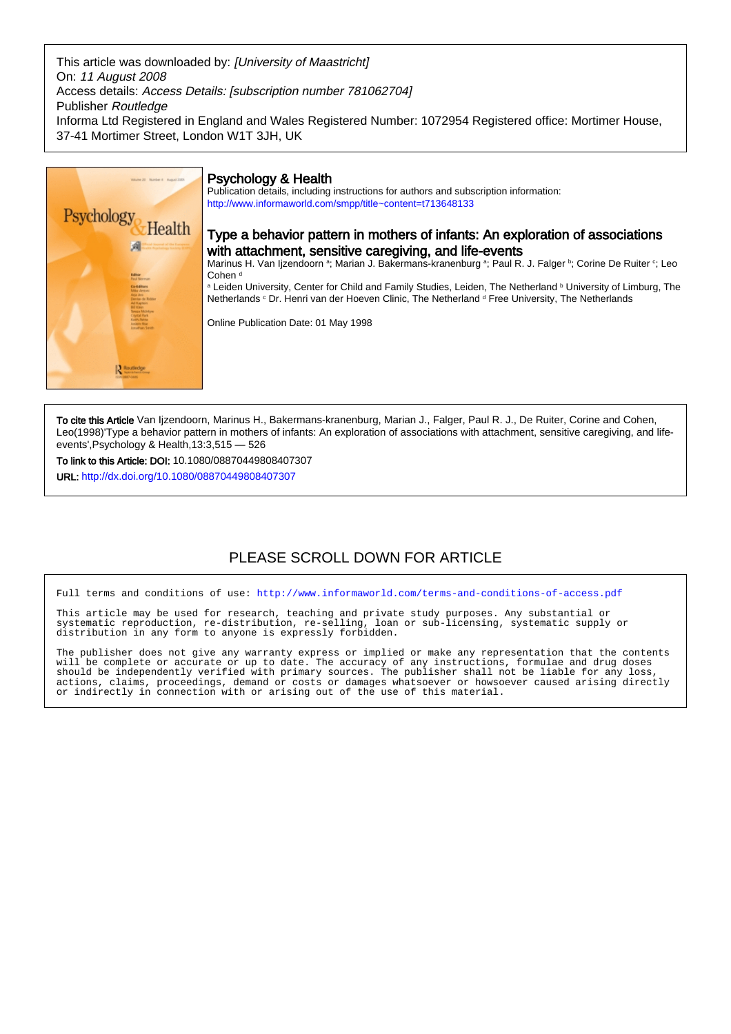This article was downloaded by: [University of Maastricht] On: 11 August 2008 Access details: Access Details: [subscription number 781062704] Publisher Routledge Informa Ltd Registered in England and Wales Registered Number: 1072954 Registered office: Mortimer House, 37-41 Mortimer Street, London W1T 3JH, UK



# Psychology & Health

Publication details, including instructions for authors and subscription information: <http://www.informaworld.com/smpp/title~content=t713648133>

# Type a behavior pattern in mothers of infants: An exploration of associations with attachment, sensitive caregiving, and life-events

Marinus H. Van Ijzendoorn ª; Marian J. Bakermans-kranenburg ª; Paul R. J. Falger ʰ; Corine De Ruiter º; Leo Cohen<sup>d</sup>

a Leiden University, Center for Child and Family Studies, Leiden, The Netherland **b** University of Limburg, The Netherlands <sup>c</sup> Dr. Henri van der Hoeven Clinic, The Netherland <sup>d</sup> Free University, The Netherlands

Online Publication Date: 01 May 1998

To cite this Article Van Ijzendoorn, Marinus H., Bakermans-kranenburg, Marian J., Falger, Paul R. J., De Ruiter, Corine and Cohen, Leo(1998)'Type a behavior pattern in mothers of infants: An exploration of associations with attachment, sensitive caregiving, and lifeevents',Psychology & Health,13:3,515 — 526

To link to this Article: DOI: 10.1080/08870449808407307

URL: <http://dx.doi.org/10.1080/08870449808407307>

# PLEASE SCROLL DOWN FOR ARTICLE

Full terms and conditions of use:<http://www.informaworld.com/terms-and-conditions-of-access.pdf>

This article may be used for research, teaching and private study purposes. Any substantial or systematic reproduction, re-distribution, re-selling, loan or sub-licensing, systematic supply or distribution in any form to anyone is expressly forbidden.

The publisher does not give any warranty express or implied or make any representation that the contents will be complete or accurate or up to date. The accuracy of any instructions, formulae and drug doses should be independently verified with primary sources. The publisher shall not be liable for any loss, actions, claims, proceedings, demand or costs or damages whatsoever or howsoever caused arising directly or indirectly in connection with or arising out of the use of this material.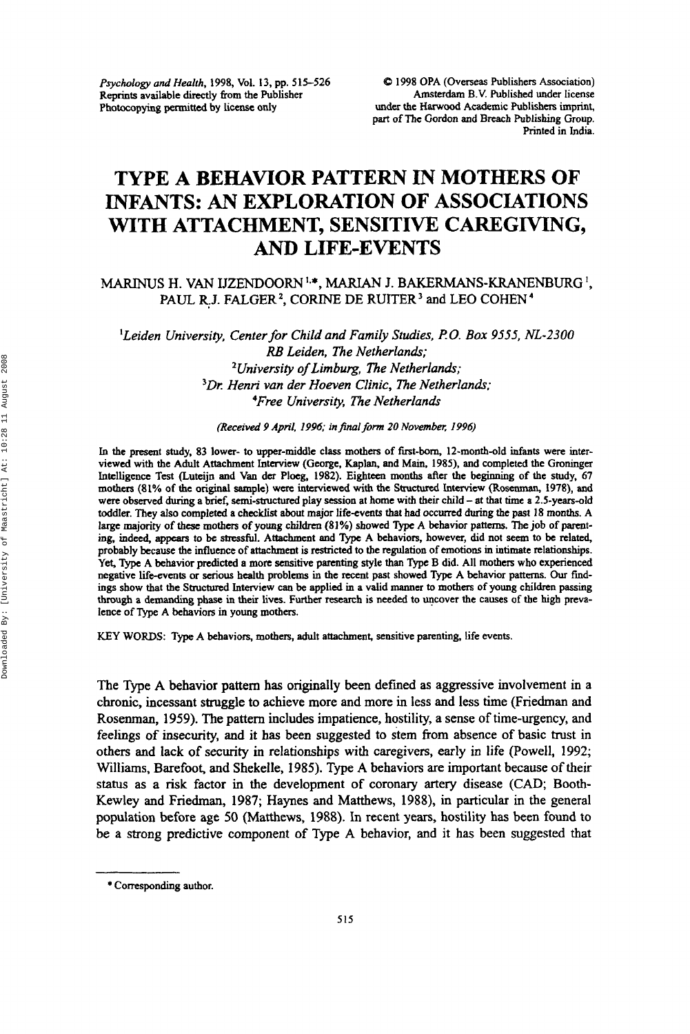*Psychology and Health,* 1998, Vol. **13,** pp. 515-526 **Reprints** available directly from the Publisher Photocopying **permitted** by license only

**Q** 1998 OPA (Overseas Publishers Association) Amsterdam B.V. Published under license under the **Harwood** Academic Publishers imprint, part of **The Gordon** and Breach Publishing Group. Printed in India.

# **TYPE A BEHAVIOR PATTERN IN MOTHERS OF INFANTS:** *AN* **EXPLORATION OF ASSOCIATIONS WITH ATTACHMENT, SENSITIVE CAREGIVING,**  *AND* **LIFE-EVENTS**

## **MARINUS H. VAN** IJZENDOORN I\*\*, MARIAN **J. BAKERMANS-KRANENBURG I,**  PAUL R.J. FALGER<sup>2</sup>, CORINE DE RUITER<sup>3</sup> and LEO COHEN<sup>4</sup>

<sup>1</sup>Leiden University, Center for Child and Family Studies, P.O. Box 9555, NL-2300 *RB Leiden. The Netherland; University of Limbuz, The Netherlands;*  <sup>3</sup>Dr. Henri van der Hoeven Clinic, The Netherlands; *4Free Universi?y, The Netherlands* 

*(Received 9 April, 1996; in final form 20 November. 1996)* 

In the present **study.** 83 lower- *to* upper-middle class mothers of first-born, 12-month-old infants were **inter**viewed with the Adult Attachment **Interview** (George, Kaplan, and **Main, 1985),** and completed the **Groninger**  Intelligence Test (Luteijn and **Van** der Ploeg, **1982).** Eighteen months after the **beginning** of the study, **67 mothers (81%** of **the original** sample) were interviewed with the Structured **Interview** *(Roscnman,* **1978),** and were observed during a brief, semi-structured play session at home with their child - at that time a 2.5-years-old toddler. **They also** completed a checklist **about** major life-events that had occurred during the past 18 months. A large **majority** of these mothers *of* **young** children **(81** %) **showed** 7)pe A behavior patterns. **The** job of parenting, indeed, *appears* to be **stnssful.** Attachment and **Qpc** A behaviors, however, did not *seem* to be related, probably because the influence of attachment is restricted to the regulation of **emotions** in **intimate** relationships. **Yet,** Type A behavior predicted **a** more sensitive parenting style than Type B did. All mothers who experienced negative life-events or *Serious* health problems in the recent past showed **Type** A behavior patterns. *Our* find**ings** show **that** the Structured Interview **can** be applied in a valid manner to mothers of young children passing **tbrough** a demanding phase in their lives. **Further** research is needed to uncover the causes of the **high** prevalence of **Type A** behaviors in young mothers.

KEY WORDS: Type A behaviors, mothers, adult attachment, sensitive parenting, life events.

The Type **A** behavior pattern **has** originally been defined **as** aggressive involvement in a chronic, incessant struggle to achieve more and more in less and less time (Friedman and Rosenman, **1959).** The pattern includes impatience, hostility, a sense of time-urgency, and feelings of insecurity, and it **has** been suggested to stem from absence of basic trust in others and lack of security in relationships with caregivers, early in life (Powell, **1992;**  Williams, Barefoot, and Shekelle, **1985).** Type A behaviors are important because of their status **as** a risk factor in the development of coronary artery disease **(CAD;** Booth-Kewley and Friedman, **1987;** Haynes and Matthews, **1988),** in particular in the general population before age 50 (Matthews, **1988).** In recent years, hostility **has** been found to be a strong predictive component of Type **A** behavior, and it has been suggested that

<sup>\*</sup> Corresponding author.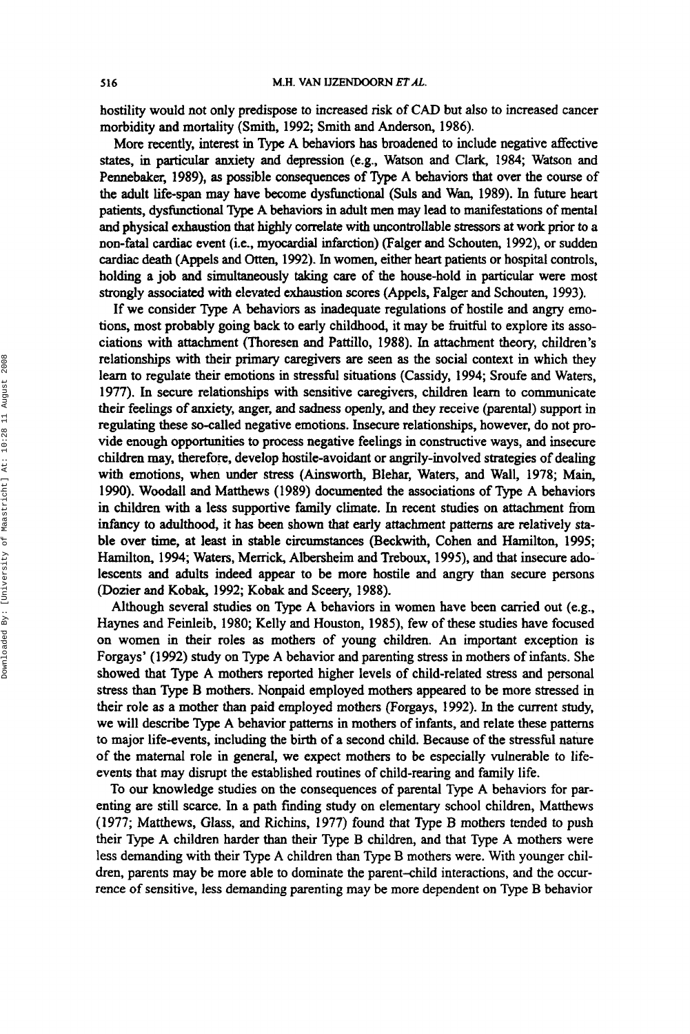hostility would not only predispose to increased risk of CAD but also to increased cancer morbidity and mortality (Smith, **1992;** Smith and Anderson, **1986).** 

More recently, interest in Type A behaviors **has** broadened to include negative aEective **states,** in particuIar anxiety and depression (e.g., Watson and Clark, **1984;** Watson and Pennebaker, 1989), as possible consequences of Type A behaviors that over the course of the adult life-span **may** have become dysfunctional (Suls and Wan, **1989).** In **future** heart patients, dysfunctional Type **A** behaviors in adult men may lead to manifestations of mental and physical exhaustion that highly correlate with uncontrollable **stressors** at work prior to a non-fatal **cardiac** event (i-e-, myowdial infarction) **(Falger** and Schouten, **1992),** or sudden cardiac death (Appels and *Otten,* **1992).** In women, either heart patients or hospital controls, holding a job and simultaneously taking care of the house-hold in particular were most strongly associated with elevated exhaustion **scores** (Appels, Falger and Schouten, **1993).** 

If we consider Type A behaviors **as** inadequate regulations of hostile and angry emotions, most probably going back to early childhood, it may be fruitfid to explore its **asso**ciations with attachment (Thoresen and Pattillo, **1988).** In attachment theory, children's relationships with their primary caregivers are seen **as** the social context in which they learn to regulate their emotions in stressful situations (Cassidy, **1994;** Sroufe and Waters, **1977).** In secure relationships with sensitive caregivers, children learn to communicate their feelings of anxiety, anger, and sadness openly, and they receive (parental) support in regulating these so-called negative emotions. Insecure relationships, however, do not provide enough opportunities to process negative feelings in constructive ways, and insecure children may, therefore, develop hostile-avoidant or angrily-involved strategies of dealing with emotions, when under **stress** (Ainsworth, Blehar, Waters, and Wall, **1978;** Main, **1990). Woodall** and Matthews **(1 989)** documented the associations of Type A behaviors in children with a less supportive family climate. In recent studies **on** attachment fiom infancy to adulthood, it **has been** shown that early attachment patterns are relatively *sta*ble over time, at least in stable circumstances (Beckwith, Cohen and Hamilton, **1995;**  Hamilton, **1994;** Waters, Merrick, Albersheim and Treboux, **1999,** and that insecure **ado**lescents and adults indeed appear to be more hostile and angry than secure persons **(Dozier** and Kobak, **1992;** Kobak and Sceery, **1988).** 

Although several studies **on** Type A behaviors in women have been carried out (e.g., Haynes and Feinleib, **1980;** Kelly and Houston, **1985),** few of these studies have focused **on** women in their roles **as** mothers of young children. An important exception is Forgays' **(1 992)** study on Type **A** behavior and parenting stress in mothers of infants. She showed that Type A mothers reported higher levels of child-related stress and personal stress than Type B mothers. Nonpaid employed mothers appeared to be more stressed in their role **as** a mother than paid employed mothers (Forgays, **1992).** In the current study, we will describe Type A behavior patterns in mothers of infants, and relate these patterns to major life-events, including the birth of a second child. Because of the stressful nature of the maternal role in general, we expect mothers to be especially vulnerable to lifeevents that may disrupt the established routines of child-rearing and family life.

To our knowledge studies on the consequences of parental Type A behaviors for parenting are still scarce. In a path finding study on elementary school children, Matthews **(1977;** Matthews, Glass, and Richins, **1977)** found that Type B mothers tended to push their Type **A** children harder than their Type B children, and that Type **A** mothers were less demanding with their Type A children than Type B mothers were. With younger children, parents may be more able to dominate the parent-child interactions, and the occurrence of sensitive, less demanding parenting may be more dependent on Type B behavior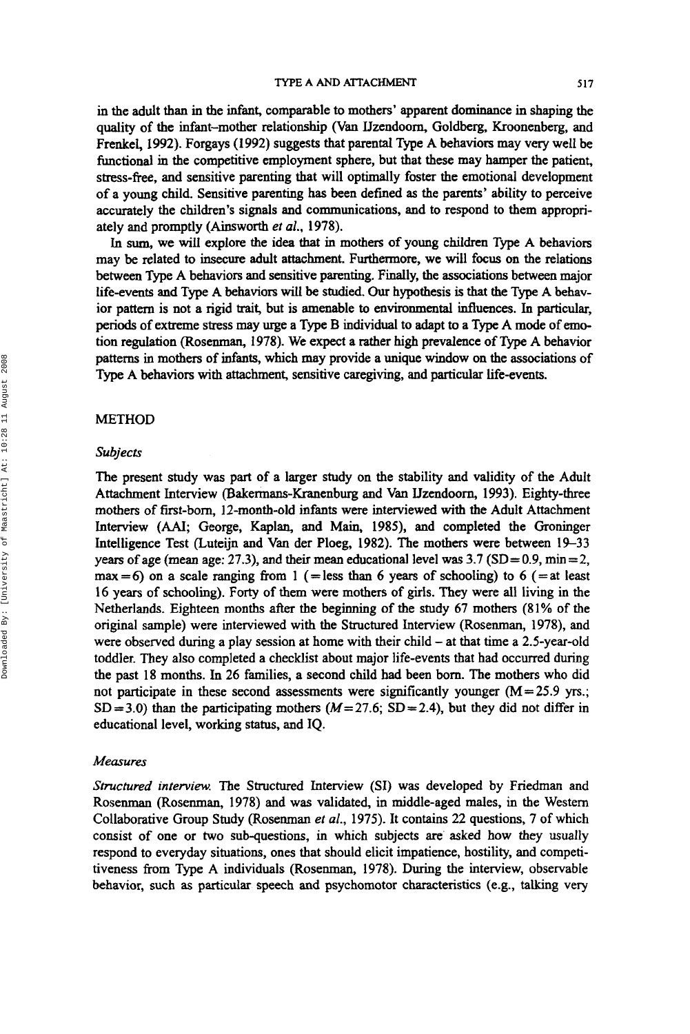in the adult than in the infant, comparable to mothers' apparent dominance in shaping the quality of the infant-mother relationship (Van Uzendoorn, Goldberg, Kroonenberg, and Frenkel, 1992). Forgays (1992) suggests that parental Type A behaviors may very well be functional in the competitive employment sphere, but that these may hamper the patient, stress-free, and sensitive parenting that will optimally foster the emotional development of a young child. Sensitive parenting has been defined **as** the parents' ability to perceive accurately the children's signals and communications, and to respond to them appropriately and promptly (Ainsworth *el al.,* 1978).

In *sum,* we will explore the idea that in mothes of young children Type A behaviors may be related to **insecure** adult attachment. Furthemore, we will focus on the relations between Type A behaviors and sensitive parenting. Finally, the associations between major life-events and Type A behaviors **will** be studied. *Our* hypothesis is that the Type A behavior pattern is not a rigid trait, but is amenable to environmental influences. In particular, **periods** of extreme **stress** may urge **a** Type B individual to adapt to a Type A mode of emotion regulation (Rosenman, 1978). We expect a rather **high** prevalence of **Type** A behavior patterns in mothers of infants, which **may** provide a unique window on the associations of Type A behaviors with attachment, sensitive caregiving, and particular life-events.

#### METHOD

#### *Subjects*

The present study was part of a larger study on the stability and validity of the Adult Attachment Interview (Bakermans-Kranenburg and Van IJzendoorn, 1993). Eighty-three mothers of first-born, 12-month-old infants were interviewed with the Adult Attachment Interview *(AAI; George, Kaplan, and Main, 1985)*, and completed the Groninger Intelligence Test (Luteijn and Van der Ploeg, 1982). The mothers were between 19-33 years of age (mean age: 27.3), and their mean educational level was  $3.7$  (SD = 0.9, min = 2,  $max = 6$ ) on a scale ranging from 1 (=less than 6 years of schooling) to 6 (=at least 16 years of schooling). Forty of them were mothers of girls. They were dl living in the Netherlands. Eighteen months after the beginning of the study 67 mothers (81% of the original sample) were interviewed with the Structured Interview (Rosenman, 1978), and were observed during a play session at home with their child - at that time a 2.5-year-old toddler. They also completed a checklist about major life-events that had occurred during the past 18 months. In 26 families, a second child had been born. The mothers who did not participate in these second assessments were significantly younger  $(M=25.9 \text{ yrs.};$  $SD = 3.0$ ) than the participating mothers ( $M = 27.6$ ;  $SD = 2.4$ ), but they did not differ in educational level, working **status,** and IQ.

#### *Measures*

*Structured interview* The Structured Interview **(SI)** was developed by Friedman and Rosenman (Rosenman, 1978) and was validated, in middle-aged males, in the Western Collaborative Group Study (Rosenman *et* al., 1975). It contains 22 questions, 7 of which consist of one or two sub-questions, in which subjects are' asked how they usually respond to everyday situations, ones that should elicit impatience, hostility, and competitiveness from Type A individuals (Rosenman, 1978). **During** the interview, observable behavior, such **as** particular speech and psychomotor characteristics (e.g., talking very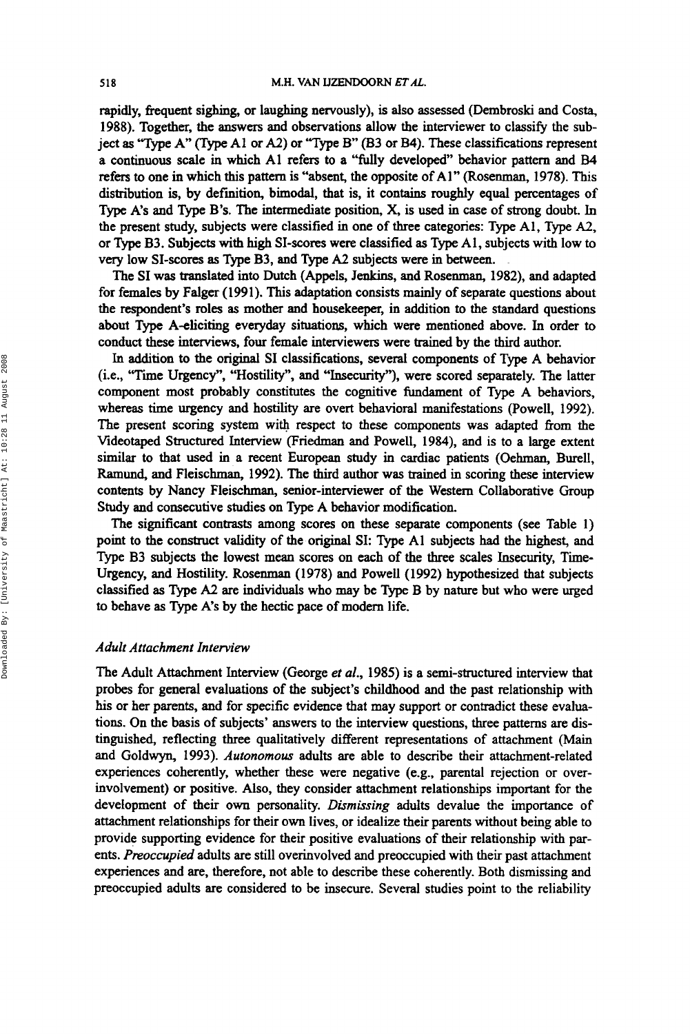rapidly, frequent sighing, or laughing nervously), is also assessed (Dembroski and Costa, 1988). Together, the answers and observations allow the interviewer to classify the subject as "Type A" (Type A1 or A2) or "Type B" (B3 or B4). These classifications represent a continuous scale in which A1 refers to a "fully developed" behavior pattern and **B4**  refers **to** one in which **this** pattern is "absent, the opposite of Al" (Rosenman, 1978). This distribution is, by deftnition, bimodal, that is, it contains roughly equal percentages of Type **A's** and Type B's. The intermediate position, **X,** is used in case of strong doubt. In the present study, subjects were classified in one of three categories: Type Al, Type *A2,*  or **Qpe** B3. Subjects with high SI-scores were classified **as** Type Al, subjects with low to very low **SI-scores as** Type B3, and Type *A2* subjects were in between.

The **SI** was translated into Dutch (Appels, Jenkins, and Rosenman, 1982), and adapted for females by Falger (1991). **This** adaptation consists mainly of separate questions about the respondent's roles **as** mother and housekeeper, in addition to the standard questions about Type A-eliciting everyday situations, which were mentioned above. In order to conduct these interviews, four female interviewers were trained by the third author.

In addition to the original **SI** classifications, several components of Type A behavior (i.e., "Time Urgency", "Hostility", and "Insecurity"), **were** scored separately. The latter component most probably constitutes the cognitive fundament of Type **A** behaviors, whereas time urgency and hostility are overt behavioral manifestations (Powell, 1992). The present scoring system with respect to these components was adapted from the Videotaped Structured Interview (Friedman and Powell, 1984), and is to a large extent **similar** to that used in a recent European study in cardiac patients (Oehman, Burell, **Ramund,** and Fleischman, 1992). The third author was trained in scoring these interview contents by Nancy Fleischman, senior-interviewer of the Western Collaborative Group Study and consecutive studies **on** Type A behavior modification.

The significant contrasts among scores **on** these separate components (see Table **1)**  point to the construct validity of the original **SI:** Type A1 subjects had the highest, and Type B3 subjects the lowest mean scores **on** each of the three scales Insecurity, Time-Urgency, and Hostility. Rosenman (1978) and Powell (1992) hypothesized that subjects classified **as** Type *A2* are individuals who may be Type B by nature but who were urged to behave **as** Type **A's** by the hectic pace of modern life.

#### *Adult Attachment Interview*

The Adult Attachment Interview (George *et al.,* 1985) is a semi-structured interview that probes for general evaluations of the subject's childhood and the past relationship with his or her parents, and for specific evidence that may support or contradict these evaluations. **On** the basis of subjects' answers to the interview questions, three patterns are **dis**tinguished, reflecting three qualitatively different representations of attachment (Main and Goldwyn, 1993). *Autonomous* adults are able to describe their attachment-related experiences coherently, whether these were negative (e.g., parental rejection or overinvolvement) or positive. Also, they consider attachment relationships important for the development of their own personality. *Dismissing* adults devalue the importance of attachment relationships for their own lives, or idealize their parents without being able to provide supporting evidence for their positive evaluations of their relationship with parents. *Preoccupied* adults are still overinvolved and preoccupied with their past attachment experiences and are, therefore, not able to describe these coherently. Both dismissing and preoccupied adults are considered to be insecure. Several studies point to the reliability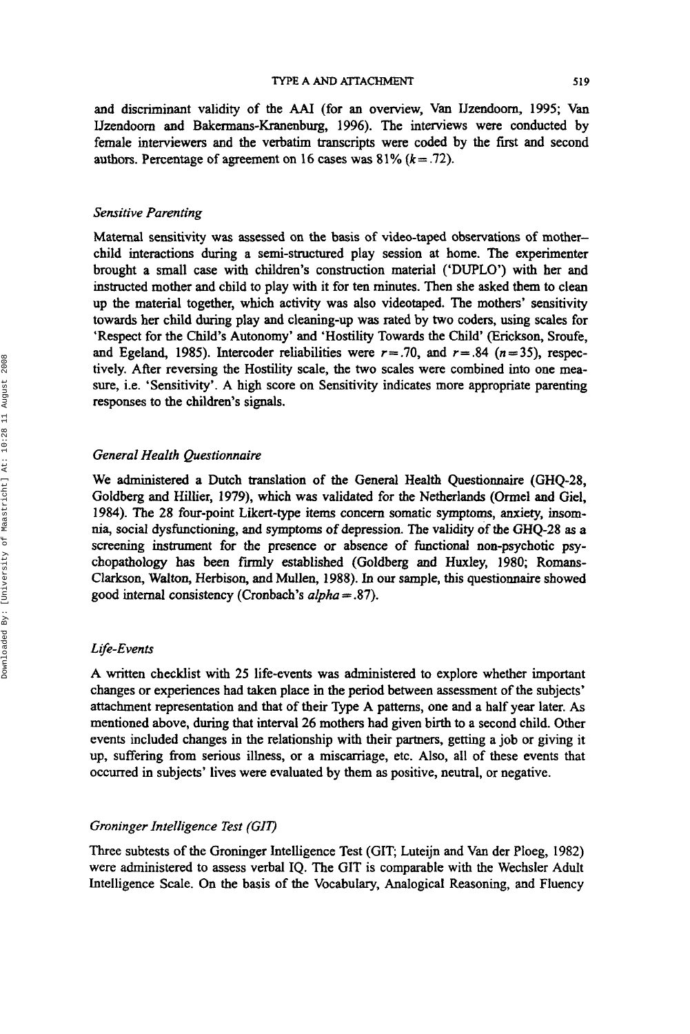and discriminant validity of the AAI (for an overview, Van IJzendoom, **1995;** Van Uzendoorn and Bakermans-Kranenburg, **1996).** The interviews were conducted by female interviewers and the verbatim transcripts were coded by the first and second authors. Percentage of agreement on 16 cases was  $81\%$   $(k=.72)$ .

#### *Sensitive Parenting*

Maternal sensitivity was assessed on the basis of video-taped observations of motherchild interactions during a semi-structured play session at home. The experimenter brought a small case with children's construction material ('DUPLO') with her and instructed mother and child to play with it for ten minutes. Then she asked them to clean up the material together, which activity was also videotaped. The mothers' sensitivity towards her child during play and cleaning-up was rated by two coders, using scales for 'Respect for the Child's Autonomy' and 'Hostility Towards the Child' (Erickson, Sroufe, and Egeland, 1985). Intercoder reliabilities were  $r=.70$ , and  $r=.84$   $(n=35)$ , respectively. After reversing the Hostility scale, the two scales were combined into one measure, i.e. 'Sensitivity'. A high score on Sensitivity indicates more appropriate parenting responses to the children's signals.

## *General Health Questionnaire*

We administered a **Dutch** translation of the General Health Questionnaire (GHQ-28, Goldberg and Hillier, **1979),** which was validated for the Netherlands (Ormel and Gel, **1984).** The **28** four-point Likert-type items concern somatic symptoms, anxiety, insom**nia,** social dysfunctioning, and symptoms of depression. The validity of the GHQ-28 **as** a screening instrument for the presence or absence of functional non-psychotic psychopathology **has** been finny established (Goldberg and Huxley, **1980;** Romans-Clarkson, *Walton,* Herbison, and Mullen, **1988).** In our sample, this questionnaire showed good internal consistency (Cronbach's *alpha* = **37).** 

#### *L fe-Events*

A written checklist with **25** life-events was administered to explore whether important changes or experiences had taken place in the period between assessment of the subjects' attachment representation and that of their Type A patterns, one and a half year later. As mentioned above, during that interval **26** mothers had given birth to a second child. Other events included changes in the relationship with their partners, getting a job or giving it up, suffering **from** serious illness, or a miscarriage, etc. Also, all of these events that occurred in subjects' lives were evaluated by them **as** positive, neutral, or negative.

### *Groninger Intelligence Test (GlV*

Three subtests of the Groninger Intelligence Test (GIT; Luteijn and Van der Ploeg, 1982) were administered to assess verbal IQ. The GIT is comparable with the Wechsler Adult Intelligence Scale. On the basis of the Vocabulary, Analogicaf Reasoning, and Fluency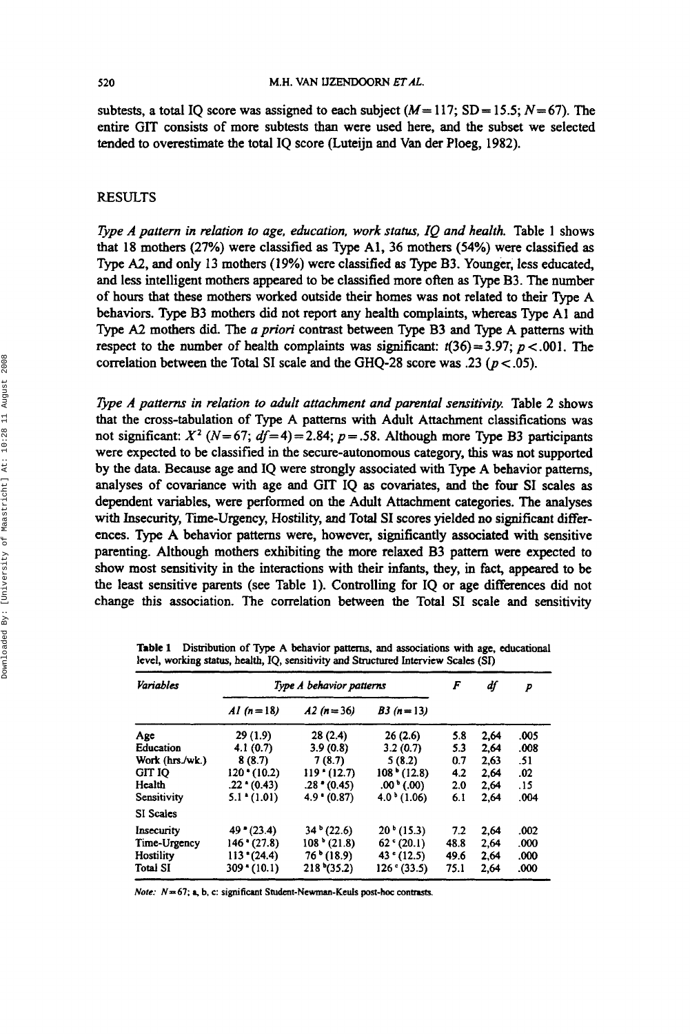subtests, a total IQ score was assigned to each subject  $(M=117; SD=15.5; N=67)$ . The entire **GIT** consists of more subtests than were used here, and the subset we selected tended to overestimate the total **IQ** score (Luteijn and Van der Ploeg, 1982).

## RESULTS

*Type A pattern in relation to age, education, work status, IQ and health.* Table 1 shows that 18 mothers **(27%)** were classified **as** Type Al, **36** mothers **(54%)** were classified **as**  Type *A2,* and only 13 mothers **(1 9%)** were classified **as** Type B3. Younger, less educated, and less intelligent mothers appeared to be classified more often **as** Type **B3.** The number of hours that these mothers worked outside their homes was not related to their Type A behaviors. Type B3 mothers did not report any health complaints, whereas Type A1 and Type *A2* mothers did. The *u priori* contrast between Type B3 and Type A patterns with respect to the number of health complaints was significant:  $t(36) = 3.97$ ;  $p < .001$ . The correlation between the **Total SI** scale and the **GHQ-28** score was **.23** (p < **.05).** 

*Type A patterns in relation to adult attachment and parental sensitivity.* Table 2 shows that the cross-tabulation of Type A patterns with Adult Attachment classifications was not significant:  $X^2$  ( $N= 67$ ;  $df= 4$ ) = 2.84;  $p = .58$ . Although more Type B3 participants were expected to be classified **in** the secure-autonomous category, **this** was not supported by the data. Because age and **IQ** were strongly associated with Type A behavior patterns, analyses of covariance with age and **GIT IQ as** covariates, and the four **SI** scales **as**  dependent variables, were performed **on** the Adult Attachment categories. The analyses with Insecurity, Time-Urgency, Hostility, and Total **SI** scores yielded **no** significant differences. Type A behavior patterns were, however, significantly associated with sensitive parenting. Although mothers exhibiting the more relaxed B3 pattern were expected to show most sensitivity in the interactions with their infants, they, in fact, appeared to be the least sensitive parents (see Table 1). Controlling for **IQ** or age differences did not change this association. The correlation between the Total **SI** scale and sensitivity

| <b>Variables</b> | Type A behavior patterns |                     |                        | F    | df   | р    |
|------------------|--------------------------|---------------------|------------------------|------|------|------|
|                  | $AI(n=18)$               | $A2(n=36)$          | $B3(n=13)$             |      |      |      |
| Age              | 29(1.9)                  | 28(2.4)             | 26(2.6)                | 5.8  | 2.64 | .005 |
| Education        | 4.1(0.7)                 | 3.9(0.8)            | 3.2(0.7)               | 5.3  | 2.64 | .008 |
| Work (hrs./wk.)  | 8(8.7)                   | 7(8.7)              | 5(8.2)                 | 0.7  | 2.63 | .51  |
| <b>GIT IO</b>    | 120 (10.2)               | $119$ $(12.7)$      | $108*(12.8)$           | 4.2  | 2.64 | .02  |
| Health           | $.22*(0.43)$             | $.28*(0.45)$        | .00 <sup>1</sup> (0.0) | 2.0  | 2.64 | .15  |
| Sensitivity      | $5.1$ $(1.01)$           | $4.9$ $(0.87)$      | $4.0^{b}$ (1.06)       | 6.1  | 2,64 | .004 |
| <b>SI</b> Scales |                          |                     |                        |      |      |      |
| Insecurity       | $49*(23.4)$              | $34^b(22.6)$        | $20^{\circ}$ (15.3)    | 7.2  | 2.64 | .002 |
| Time-Urgency     | $146$ $(27.8)$           | $108*(21.8)$        | $62$ $(20.1)$          | 48.8 | 2.64 | .000 |
| Hostility        | $113$ $(24.4)$           | $76^{\circ}$ (18.9) | 43 $(12.5)$            | 49.6 | 2.64 | .000 |
| <b>Total SI</b>  | $309*(10.1)$             | $218*(35.2)$        | 126°(33.5)             | 75.1 | 2.64 | .000 |

**Table 1 Distribution of Type A behavior pattcms,** *and* **associations with age, educational level, working** *status,* **health, IQ, sensitivity** *and* **Structured** Interview *Scales (SI)* 

*Note:*  $N=67$ ; a, b, c: significant Student-Newman-Keuls post-hoc contrasts.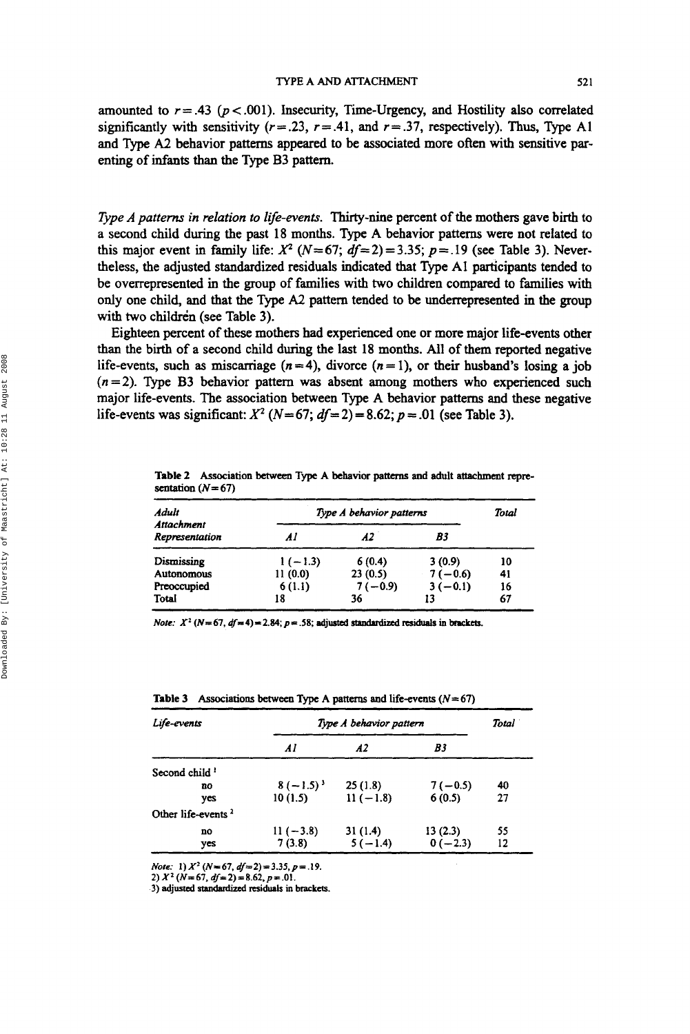amounted to  $r = .43$  ( $p < .001$ ). Insecurity, Time-Urgency, and Hostility also correlated significantly with sensitivity  $(r=.23, r=.41,$  and  $r=.37$ , respectively). Thus, Type A1 and Type *A2* behavior patterns appeared to be associated more often with sensitive parenting of infants than the Type **B3** pattern.

*Type A patterns in relation to life-events.* Thirty-nine percent of the mothers gave birth to a second child during the past **18** months. Type **A** behavior patterns were not related to this major event in family life:  $X^2$  ( $N = 67$ ;  $df = 2$ ) = 3.35;  $p = 0.19$  (see Table 3). Nevertheless, the adjusted standardized residuals indicated that Type **A1** participants tended to be overrepresented in the group of families with two children compared to families with only one child, and that the Type *A2* pattern tended to be underrepresented in the group with two children (see Table **3).** 

Eighteen percent of these mothers had experienced one or more major life-events other than the birth of a second child during the last **18** months. All of them reported negative life-events, such as miscarriage  $(n=4)$ , divorce  $(n=1)$ , or their husband's losing a job  $(n=2)$ . Type B3 behavior pattern was absent among mothers who experienced such major life-events. The association between Type **A** behavior patterns and these negative life-events was significant:  $X^2$  ( $N=67$ ;  $df=2$ ) = 8.62;  $p = .01$  (see Table 3).

Table 2 Association between Type A behavior patterns and adult attachment representation  $(N=67)$ 

| Adult                        |           | Type A behavior patterns |           |    |  |
|------------------------------|-----------|--------------------------|-----------|----|--|
| Attachment<br>Representation | Al        | A2                       | B3        |    |  |
| Dismissing                   | $1(-1.3)$ | 6(0.4)                   | 3(0.9)    | 10 |  |
| Autonomous                   | 11(0.0)   | 23(0.5)                  | $7(-0.6)$ | 41 |  |
| Preoccupied                  | 6(1.1)    | $7(-0.9)$                | $3(-0.1)$ | 16 |  |
| Total                        | 18        | 36                       | 13        | 67 |  |

*Note:*  $X^2$  ( $N = 67$ ,  $df = 4$ ) = 2.84;  $p = .58$ ; adjusted standardized residuals in brackets.

| Life-events                    | Type A behavior pattern |            |           |    |
|--------------------------------|-------------------------|------------|-----------|----|
|                                | Al                      | A2         | B3        |    |
| Second child <sup>1</sup>      |                         |            |           |    |
| no                             | $8(-1.5)^{3}$           | 25(1.8)    | $7(-0.5)$ | 40 |
| yes                            | 10(1.5)                 | $11(-1.8)$ | 6(0.5)    | 27 |
| Other life-events <sup>2</sup> |                         |            |           |    |
| no                             | $11(-3.8)$              | 31(1.4)    | 13(2.3)   | 55 |
| yes                            | 7(3.8)                  | $5(-1.4)$  | $0(-2.3)$ | 12 |

**Table 3** Associations between Type A patterns and life-events  $(N = 67)$ 

*Note:* 1)  $X^2$  ( $N=67$ ,  $df=2$ ) = 3.35,  $p=.19$ .

2)  $X^2$  ( $N=67$ ,  $df=2$ ) = 8.62,  $p=01$ .

3) adjusted standardized residuals in brackets.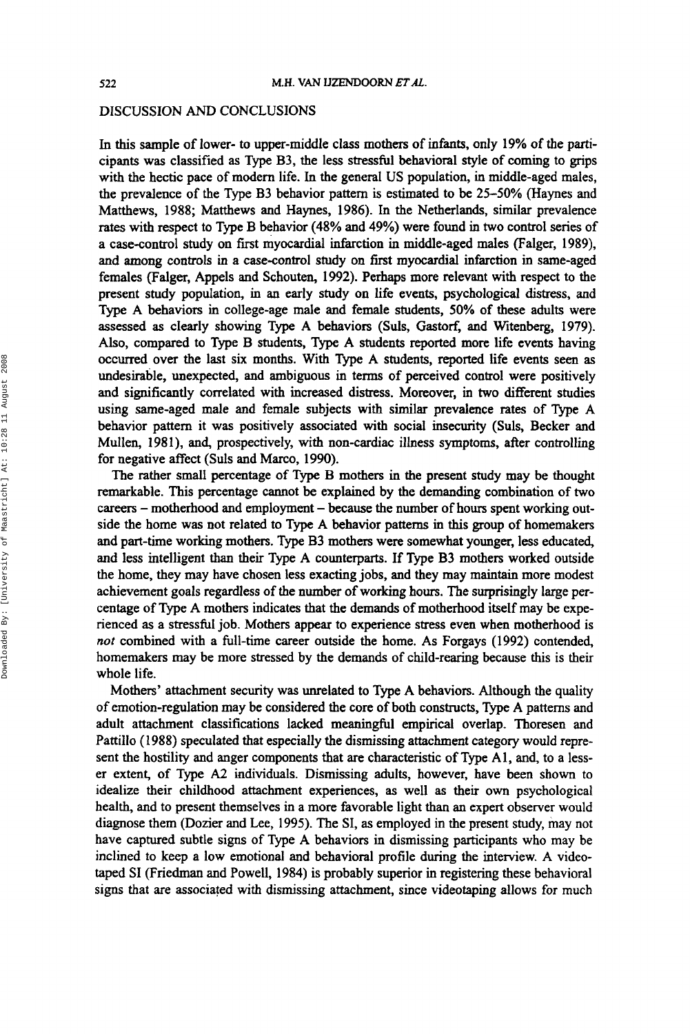#### DISCUSSION *AND* CONCLUSIONS

In this sample of lower- to upper-middle class mothers of infants, only 19% of the participants was classified **as** Type B3, the less *stressful* behavioral style of coming to grips with the hectic pace of modem life. In the general **US** population, in middle-aged males, the prevalence of the Type B3 behavior pattern is estimated to be  $25-50\%$  (Haynes and Matthews, **1988;** Matthews and Haynes, **1986).** In the Netherlands, similar prevalence rates with respect to Type B behavior **(48%** and **49%)** were found in two control series of a case-control study **on** first myocardial infarction in middle-aged males (Falger, **1989),**  and among controls in a case-control study **on** first myocardial infarction in same-aged females (Falger, Appels and Schouten, **1992).** Perhaps more relevant with respect to the present study population, in an early study **on** life events, psychological **distress,** and Type A behaviors in college-age male and female students, *50%* of these adults were assessed **as** clearly showing Type A behaviors (Suls, **Gastorf,** and Witenberg, **1979).**  Also, compared to Type B students, Type A students reported more life events having occurred over the last **six** months. With Type A students, **reported** life events seen **as**  undesirable, unexpected, and ambiguous in terms of perceived control were positively and significantly correlated with increased distress. Moreover, in two different studies using same-aged male and female subjects with similar prevalence rates of Type A behavior pattern it was positively associated with social **insecurity** (Suls, Becker and Mullen, **198** I), and, prospectively, with non-cardiac illness symptoms, after controlling for negative affect (Suls and Marco, **1990).** 

The rather small percentage of Type B mothers in the present study may be thought remarkable. This percentage cannot be explained by the demanding combination of two careers - motherhood and employment - because the number of hours spent working outside the home was not related to Type A behavior patterns in **this** group of homemakers and part-time working mothers. Type B3 mothers were somewhat younger, less educated, and less intelligent **than** their Type A counterparts. If Type B3 mothers worked outside the home, they may have chosen less exacting jobs, and they may maintain more modest achievement goals regardless of *the* number of working hours. The surprisingly large percentage of Type A mothers indicates that the demands of motherhood itself may be experienced **as** a stressfbl job. Mothers appear to experience stress even when motherhood is *not* combined with a full-time career outside the home. As Forgays **(1992)** contended, homemakers may be more stressed by the demands of child-rearing because this is their whole life.

Mothers' attachment security was unrelated to Type A behaviors. Although the quality of emotion-regulation may be considered the core of both constructs, Type A patterns and adult attachment classifications lacked meaningful empirical overlap. Thoresen and Pattillo (1988) speculated that especially the dismissing attachment category would represent the hostility and anger components that *are* characteristic of Type **A1** , and, to a lesser extent, of Type *A2* individuals. Dismissing adults, however, have been shown to idealize their childhood attachment experiences, **as** well **as** their own psychological health, and to present themselves in a more favorable light than an expert observer would diagnose them (Dozier and Lee, **1995).** The SI, **as** employed in the present study, may not have captured subtle signs of Type A behaviors in dismissing participants who may be inclined **to** keep a low emotional and behavioral profile during the interview. A videotaped SI (Friedman and Powell, **1984)** is probably superior in registering these behavioral signs that are associated with dismissing attachment, since videotaping allows for much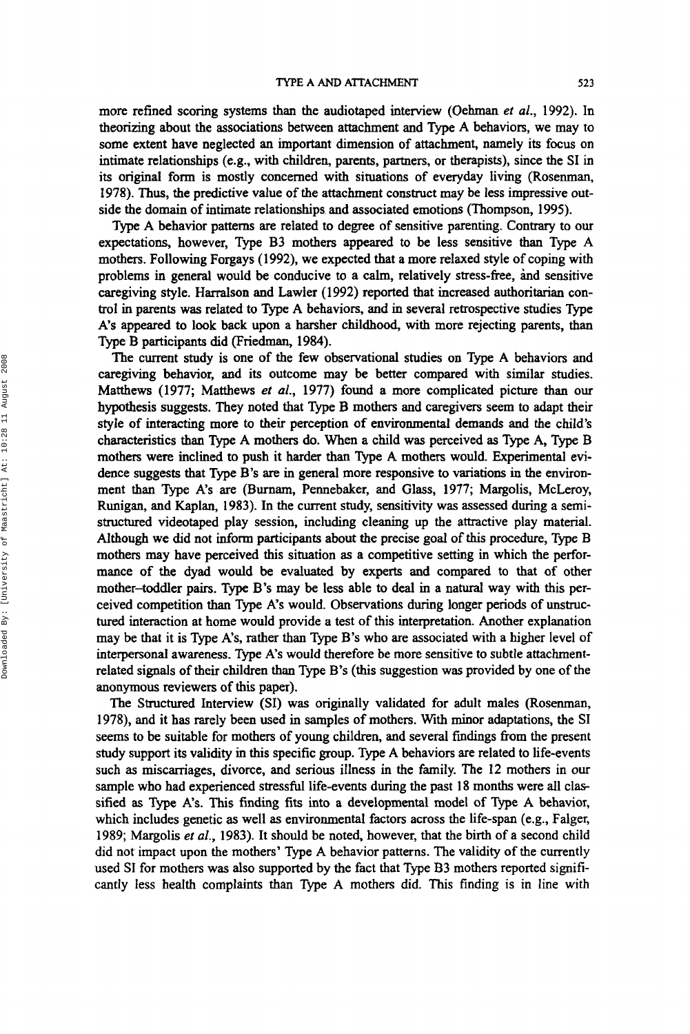more refined scoring systems than the audiotaped interview (Oehman *et al.,* 1992). **In**  theorizing about the associations between attachment and Type **A** behaviors, we may to some extent have neglected an important dimension of attachment, namely its focus on intimate relationships (e.g., with children, parents, partners, or therapists), since the **SI** in its original form is mostly concerned with situations of everyday living (Rosenman, 1978). **Thus,** the predictive value of the attachment construct may be less impressive outside the domain of intimate relationships and associated emotions (Thompson, 1995).

Type A behavior patterns are related to degree of sensitive parenting. Contrary to **our**  expectations, however, Type **B3** mothers appeared to be less sensitive than Type A mothers. Following Forgays (1992), we expected that a more relaxed style of coping with problems in general would be conducive to a calm, relatively stress-free, hd sensitive caregiving style. Harralson and Lawler (1992) reported that increased authoritarian control in parents was related to Type **A** behaviors, and in several retrospective studies Type **A's** appeared to look back upon a harsher childhood, with more rejecting parents, than Type B participants did (Friedman, 1984).

The current study is one of the few observational studies on Type A behaviors and caregiving behavior, and its outcome may be better compared with similar studies. Matthews (1977; Matthews *et al.,* 1977) found a more complicated picture than **our**  hypothesis suggests. They noted that Type B mothers and caregivers seem to adapt their style of interacting more to their perception of environmental demands and the child's characteristics than Type A mothers do. When a child was perceived **as** Type A, Type **B**  mothers were inclined **to** push it harder than Type A mothers would. Experimental evidence suggests that Type B's **are** in general more responsive to variations **in** the environment than Type A's are (Burnam, Pennebaker, and Glass, 1977; Margolis, McLeroy, Runigan, and Kaplan, 1983). In the current study, sensitivity was assessed during a semistructured videotaped play session, including cleaning up the attractive play material. Although we did not **inform** participants about the precise goal of **this** procedure, Type **B**  mothers may have perceived **this** situation **as** a competitive setting in which the performance of the dyad would be evaluated by experts and compared to that of other mother-toddler pairs. Type B's may be less able to deal in a natural way with this perceived competition than Type A's would. Observations during longer periods of unstructured interaction at home would provide a test of this interpretation. Another explanation may be that it is Type A's, rather than Type **B's** who are associated with a higher level of interpersonal awareness. Type A's would therefore be more sensitive to subtle attachmentrelated signals of their children than Type **B's** (this suggestion was provided by one of the anonymous reviewers of this paper).

The Structured Interview (SI) was originally validated for adult males (Rosenman, 1978), and it has rarely been used in samples of mothers. With minor adaptations, the SI seems to be suitable for mothers of young children, and several findings from the present study support its validity in this specific group. Type **A** behaviors are related to life-events such **as** miscarriages, divorce, and serious illness in the family. The **12** mothers in our sample who had experienced stressful life-events during the past 18 months were all classified **as** Type A's. This finding fits into a developmental model of Type A behavior, which includes genetic **as** well **as** environmental factors across the life-span (e.g., Falger, 1989; Margolis et al., 1983). It should be noted, however, that the birth of a second child did not impact upon the mothers' Type A behavior patterns. The validity of the currently used SI for mothers **was** also supported by the fact that Type **B3** mothers reported significantly less health complaints than Type A mothers did. This finding is in line with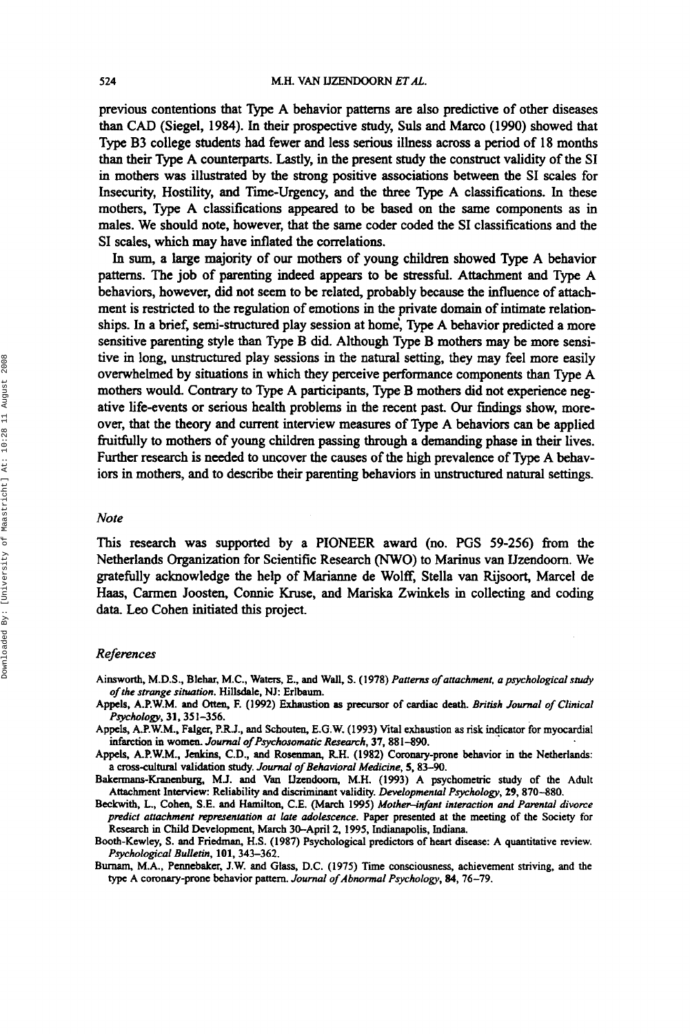previous contentions that Type A behavior patterns are also predictive of other diseases than CAD (Siegel, 1984). In their prospective study, **Suls** and Marco (1990) showed that Type B3 college students **had** fewer and less **serious** illness **across** a period of 18 months than their Type A counterparts. Lastly, in the present study the construct validity of the **SI**  in mothers was illustrated by the strong positive associations between the SI scales for Insecurity, Hostility, and Time-Urgency, and the three Type A classifications. In these mothers, Type A classifications appeared to be based **on** the same components **as** in males. We should note, however, that the same coder coded the **SI** classifications and the SI scales, which **may** have inflated the correlations.

In **sum,** a large majority of **our** mothers of young children showed Type A behavior patterns. The job of parenting indeed appears to be *stressful.* Attachment and Type A behaviors, however, did not seem to **be** related, probably because the influence of attachment is restricted to the regulation of emotions in the private domain of intimate relationships. In a brief, semi-structured play session at home', Type A behavior predicted a more sensitive parenting style than Type B did. Although Type B mothers may be more sensitive in long, unstructured play sessions in the natural setting, they may feel more easily overwhelmed by situations in which they perceive performance components than Type A mothers would. Contrary to Type A participants, Type B mothers did not experience negative life-events or serious health problems in the recent past. Our findings show, moreover, that the theory and current interview measures of Type A behaviors can be applied fruitfully to mothers of young children passing through a demanding phase in their lives. **Further** research is **needed** to uncover the causes of the high prevalence of Type A behaviors in mothers, and to describe their parenting behaviors in unstructured natural settings.

## *Note*

**This** research was supported by a PIONEER award **(no.** PGS **59-256)** from the Netherlands Organization for Scientific Research *(NWO)* to Marinus van Uzendoorn. We gratehlly acknowledge the help of Marianne de Wolff, Stella van Rijsoort, Marcel de Haas, Carmen Joosten, Connie Kruse, and Mariska Zwinkels in collecting and coding **data.** Leo Cohen initiated **this** project.

#### *Refeences*

- Ainsworth, M.D.S.. Blehar, **M.C.,** Waters, **E., and** Wall. **S. (1 978)** *Pattern of attachment, a psychological study of the strange sihration.* Hillsdale, **NJ: Erlbaum.**
- Appels. A.P.W.M. and Oltcn, **F. (1992)** Exhaustion **as** precursor of **cardiac** death. *British Joml of Clinical P~hdo~,* **31,351-356.**
- Appels, A.P.W.M., **Falger,** P.R.J., nnd **Schouten,** E.G.W. **(1993) Vital** exhaustion **as risk indicator** for myocardial infarction in women. *Journal of Psychosomatic Research*, 37, 881-890.
- Appels. A.P.W.M., **Jenkins,** C.D., and Rosenman, RH. **(1982)** Coronary-prone behavior in the Netherlands: a cross-cultural validation study. *Journal of Behavioral Medicine*, 5, 83-90.
- Bakermans-Kranenburg, M.J. and Van Uzendoorn, M.H. (1993) A psychometric study of the Adult Attachment Interview: Reliability and discriminant validity. *Developmental Psychology,* **29,870-880.**
- Beckwith. *L.,* **ahen, S.E.** and Hamilton, **C.E.** (March **1995)** *Mother-infant interaction and Parental divorce predict attuchmenr mpresentation at late adolescence.* Paper presented at the meeting of the Society for Research in Child Development, **March** 30-April **2, 1995,** Indianapolis, Indiana.
- Booth-Kewley, **S.** and **Friedman,** H.S. **(1987)** Psychological predictors of heart disease: A quantitative review. *Psychological Bulletin,* **101,343-362.**
- Burnam, M.A., Pennebaker, J.W. and Glass, D.C. (1975) Time consciousness, achievement striving, and the type A coronary-prone behavior pattern. *Journal of Abnormal Psychology*, 84, 76-79.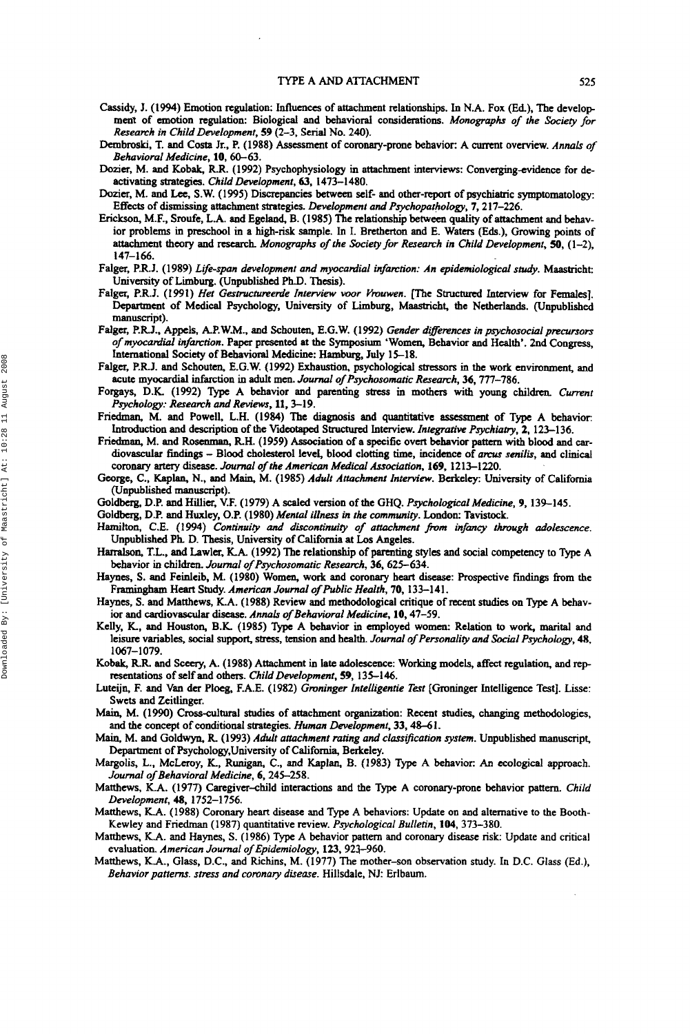- Cassidy, J. **(1994)** Emotion regulation: Influences of attachment relationships. In N.A. Fox (Ed), The develop **ment** of emotion regulation: Biological and behavioral considerations. *Monographs of the Society for Research in ChiIdDevelopment,* **59 (2-3,** Serial No. **240).**
- Dembroski, **T.** and Costa Jr., P. **(1988)** Assessment of coronary-prone behavior: A current overview. *Annals of Behavioral Medicine,* **10,60-63.**
- **Dozier,** M. and Kobak, RR. **(1992)** Psychophysiology in attachment interviews: Converging-widence for deactivating strategies. *Child Development, 63,* **1473-1480.**
- **Dozier,** M. and Lee, S.W. **(1995)** Discrepancies **between** self- and other-report of psychiatric symptomatology: **Effects** of dismissing attachment strategies. *Development and Psychopathology,* **7,2 17-226.**
- Erickson, M.F., Sroufe, **L.A.** and Egeland, **B. (1985)** The relationship between quality of attachment and behavior problems in preschool in a high-risk sample. In I. Bretherton and E. Waters **(Eds.),** Growing points of **attachment** theory and research. *Monographs of the Society for Research in Child Development, 50,* **(1-2), 147-166.**
- Falger, P.R.J. **(1 989)** *Lge-span development and myocardial infarction: An epidemwlogical study.* Maastricht: University of Limburg. (Unpublished Ph.D. Thesis).
- Falger, P.R.J. **(1991)** *Her Gestructumenfe Interview wor Vrouwen.* [The **Sbuctured** Interview for Females]. **Department** of Medical Psychology, University of Limburg, Maastricht, the Netherlands. (Unpublished manuscript).
- Falger, PRJ., **Appck,** A.P.W.M.. and **Schouten,** E.G.W. **(1992)** *Gender dzreerences in psychosocial precursors of myocadial infarction.* Paper presented at the Symposium 'Women, Behavior and **Health'.** 2nd Congress, International Society of Behavioral Medicine: Hamburg, **July 15-18.**
- Falger, P.RJ. and Schouten, E.G.W. **(1992)** Exhaustion, psychological **stressors** in the work environment, and acute myocardial **infarction** in **adult men.** *Journal* **of** *Psychosomatic Research,* **36,777-786.**
- Forgays, D.K. (1992) Type A behavior and parenting stress in mothers with young children. Current *Psychology: Research and Reviews,* **11,3-19.**
- Friedman, M. and Powell, **L.H. (1984) The** diagnosis and quantitative assessment *of* **Type** A behavior: Introduction and description of the Videotaped Structured Interview. *Integrative Psychiatry*, 2, 123-136.
- Friedman, M. and Rosenman, R.H. (1959) Association of a specific overt behavior pattern with blood and cardiovascular findings - Blood cholesterol level, blood clotting time, incidence of *arcus senilis*, and clinical **coronary** *artery* disease. *Journal of Pe American Medical Association.* **169. 1213-1220.**
- George, C., **Kaplan,** N., and Main, M. **(1985)** *Adult Attachment Interviov.* Berkeley: University of California (Unpublished manuscript).
- Goldberg, D.P. and Hillier, V.F. **(1979)** A *scaled* version of the GHQ. *Psychological Medicine,* **9, 139-145.**

Goldberg, D.P. and **Huxley, O.P. (1980)** *Mental illness in the community.* London: Tavistock.

- *Hadton,* C.E. **(1994)** *Continuiw* and *discontinuity of attachment fmrn infancy hugh adolescence.*  Unpublished Ph D. Thesis, University of California *at* **Los** Angeles.
- **Harralson, T.L., and** Lawler, **KA. (1992)** The relationship of parenting styles and social competency to **Type** A behavior **in** children. *Joumal of Psychosomatic Research,* **36,625-634.**
- **Haynes, S.** and Feinleib. M. **(1980)** Women, work and **coronary** heart **disease:** Prospective **findings** from the Framingham **Heart** Study. *American Journal* **of** *Public Health,* **70, 133-141.**
- Haynes, **S.** and Matthews, K.A. **(1988)** Review and methodological critique of **recent studies on Type A** behavior and cardiovascular disease. *Annals of Behavioral Medicine*, 10, 47-59.
- Kelly, *K.,* and **Houston,** B.K. **(1985)** Type A behavior in employed women: Relation to work, marital and leisure variables, social support, **stress,** tension and health. *Journal of Personality and Social Psychology,* 48, **1067- 1079.**
- Kobak, R.R. and Sceery, A. (1988) Attachment in late adolescence: Working models, affect regulation, and representations of self and others. *Child Development,* **59, 135-146.**
- Luteijn. **F.** and Van der Ploeg, F.A.E. **(1982)** *Gmninger Intelligentie Test* **[Groninger** Intelligence **TestJ.** Lisse: Swets and Zeitlinger.
- Main, M. (1990) Cross-cultural studies of attachment organization: Recent studies, changing methodologies, and the concept of **conditional** strategies. *Human Development,* **33,48-61.**
- Main, M. and Goldwyn, **R (1993)** *Adult attachment mting and clarsifcation system.* Unpublished manuscrips Department of Psychology, University of California, Berkeley.
- **Margolis,** L.. McLeroy, K., Ruuigan, C., and Kaplan, B. **(1983) Type A** behavior: *An* ecological approach. *Journal of Behavioral Medicine,* **6,245-258.**
- Matthews, K.A. **(1977)** Caregiver-child interactions and the **Type** A coronary-prone behavior **pattern.** *Child Development,* **48, 1752-1756.**
- Matthews, KA. **(1988)** Coronary heart disease and **Type** A behaviors: Update on and alternative to the Booth-Kewley and Friedman **(1987)** quantitative review. *Psychological Bulletin,* **104,373-380.**
- Matthews, K.A. and Haynes, S. **(1986) Type A** behavior pattern **and** coronary disease risk: Update and critical evaluation. *American Journal of Epidemiology,* **123.921-960.**
- Matthews, K.A., Glass, D.C., and Richins, M. **(1977)** The mother-son observation study. In D.C. Glass (Ed.), Behavior patterns. stress and coronary disease. Hillsdale, NJ: Erlbaum.